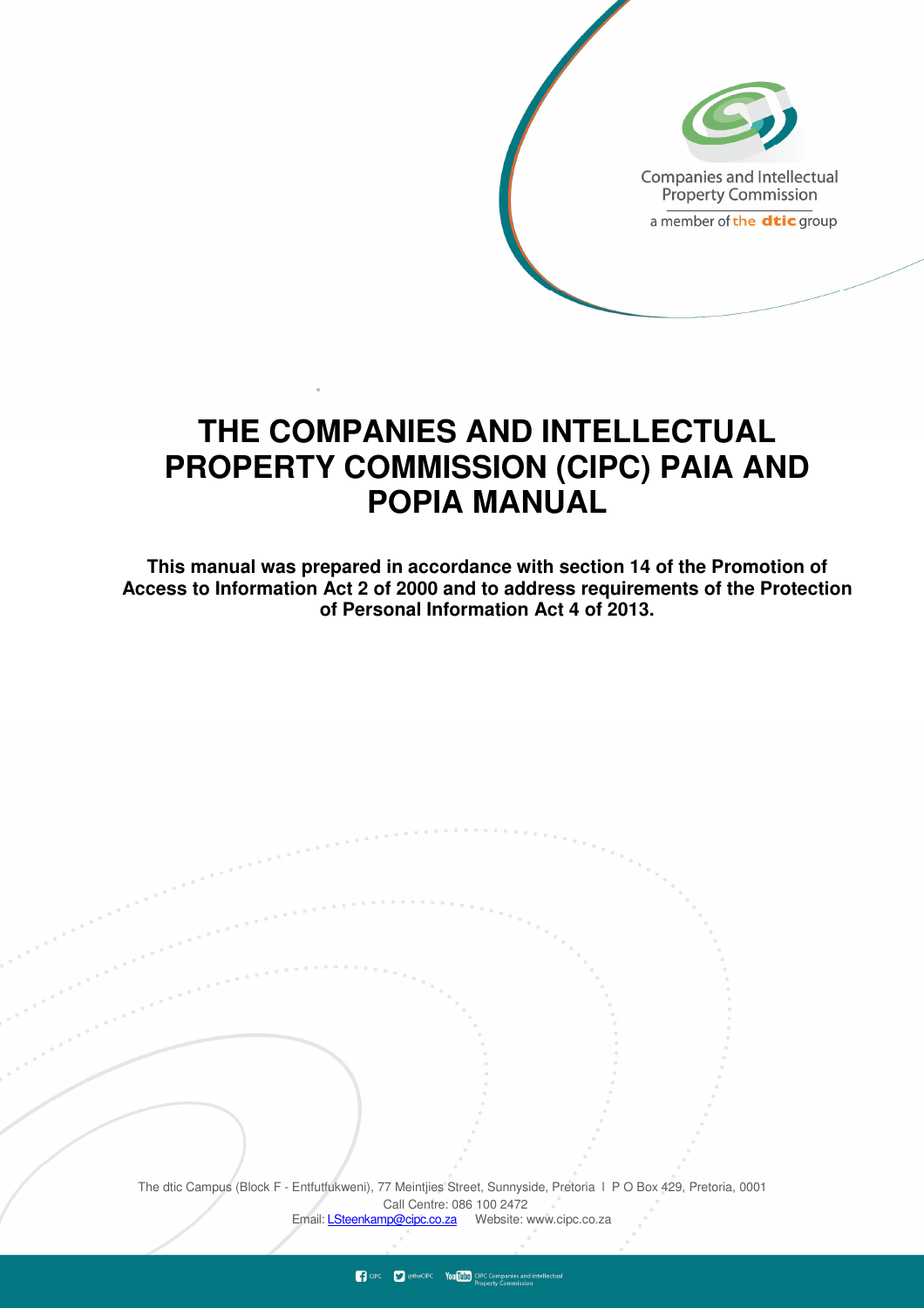

# **THE COMPANIES AND INTELLECTUAL PROPERTY COMMISSION (CIPC) PAIA AND POPIA MANUAL**

**This manual was prepared in accordance with section 14 of the Promotion of Access to Information Act 2 of 2000 and to address requirements of the Protection of Personal Information Act 4 of 2013.**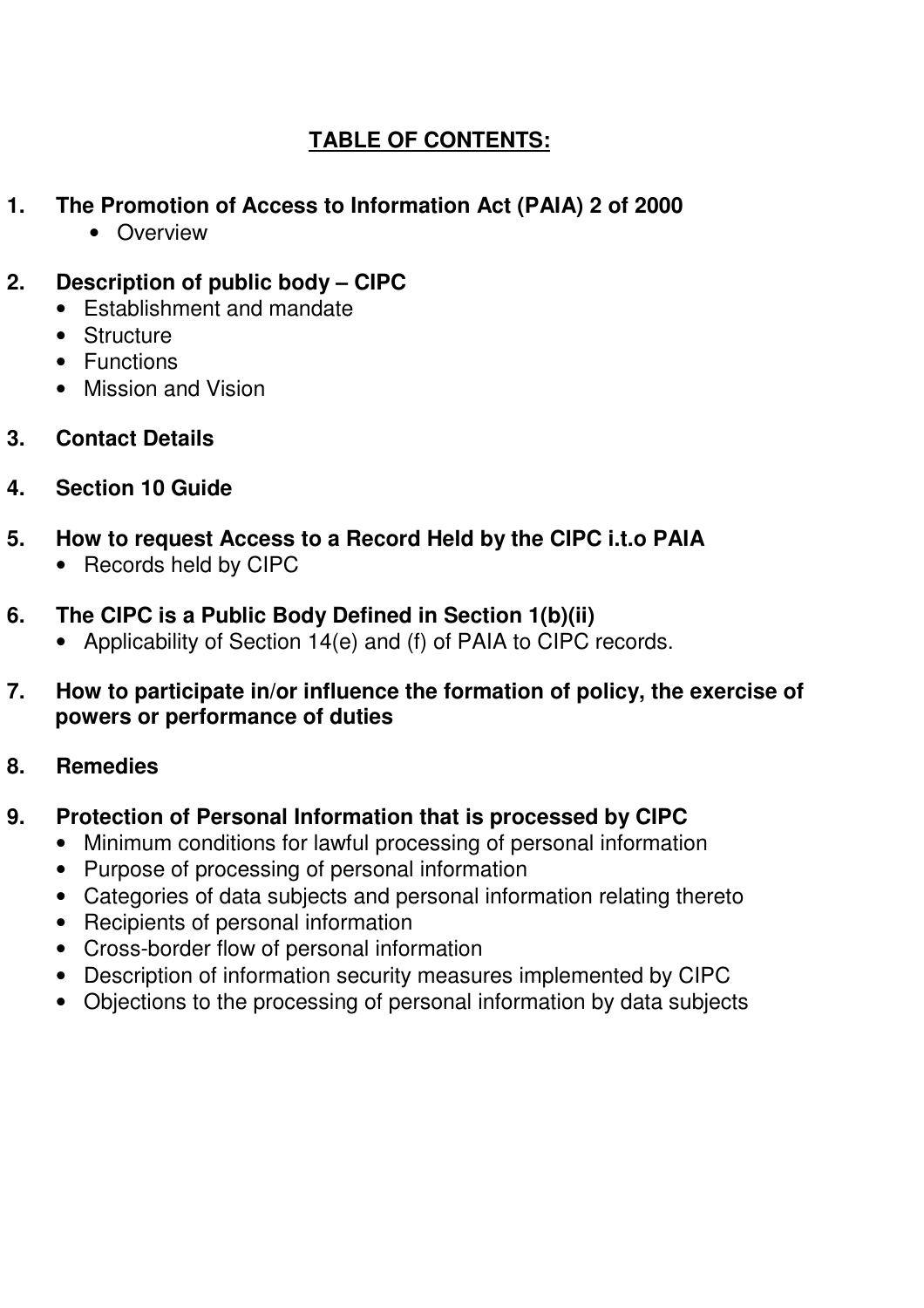## **TABLE OF CONTENTS:**

## **1. The Promotion of Access to Information Act (PAIA) 2 of 2000**

• Overview

## **2. Description of public body – CIPC**

- Establishment and mandate
- Structure
- Functions
- Mission and Vision
- **3. Contact Details**
- **4. Section 10 Guide**
- **5. How to request Access to a Record Held by the CIPC i.t.o PAIA** 
	- Records held by CIPC
- **6. The CIPC is a Public Body Defined in Section 1(b)(ii)** 
	- Applicability of Section 14(e) and (f) of PAIA to CIPC records.
- **7. How to participate in/or influence the formation of policy, the exercise of powers or performance of duties**
- **8. Remedies**

## **9. Protection of Personal Information that is processed by CIPC**

- Minimum conditions for lawful processing of personal information
- Purpose of processing of personal information
- Categories of data subjects and personal information relating thereto
- Recipients of personal information
- Cross-border flow of personal information
- Description of information security measures implemented by CIPC
- Objections to the processing of personal information by data subjects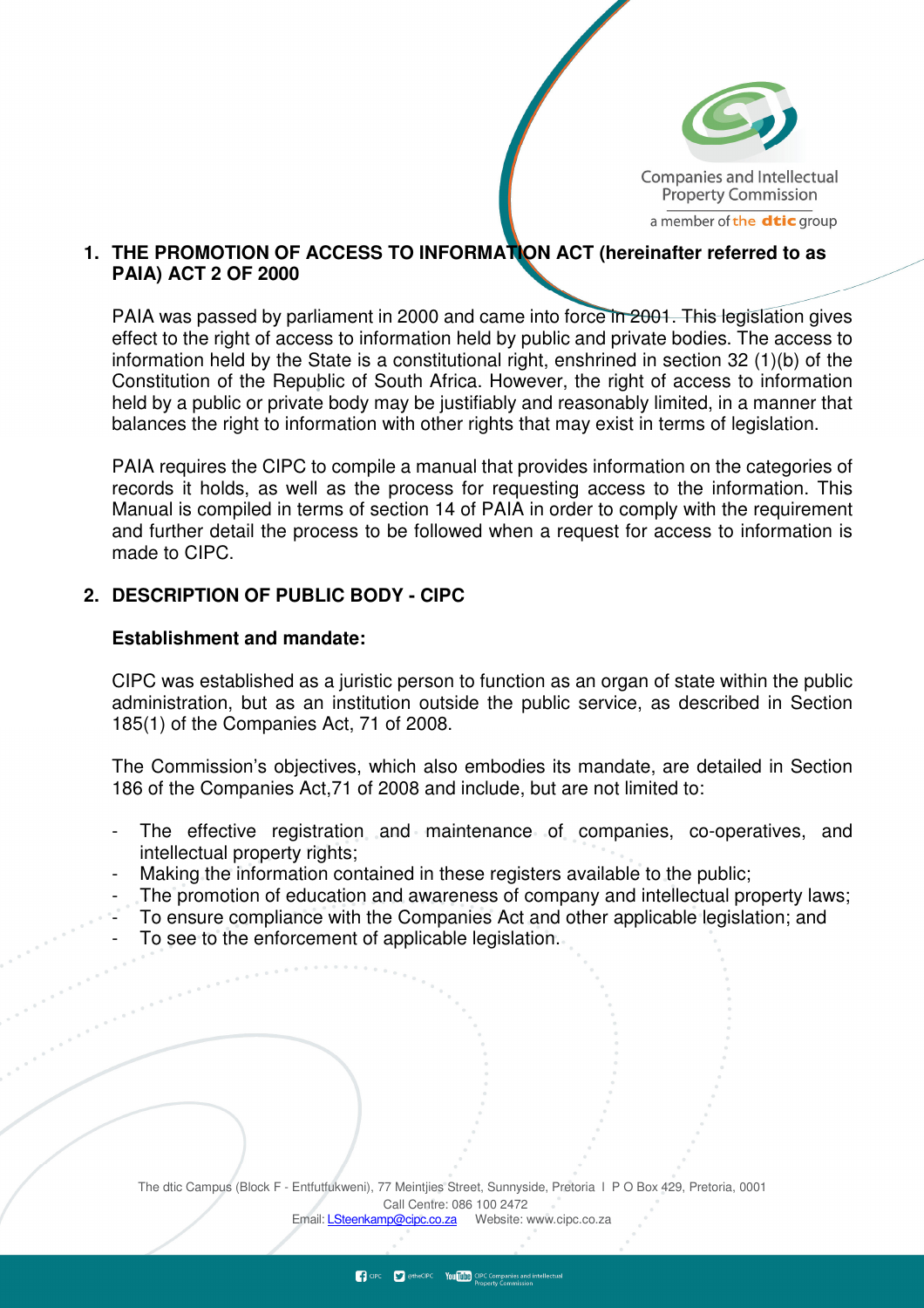

#### **1. THE PROMOTION OF ACCESS TO INFORMATION ACT (hereinafter referred to as PAIA) ACT 2 OF 2000**

PAIA was passed by parliament in 2000 and came into force in 2001. This legislation gives effect to the right of access to information held by public and private bodies. The access to information held by the State is a constitutional right, enshrined in section 32 (1)(b) of the Constitution of the Republic of South Africa. However, the right of access to information held by a public or private body may be justifiably and reasonably limited, in a manner that balances the right to information with other rights that may exist in terms of legislation.

PAIA requires the CIPC to compile a manual that provides information on the categories of records it holds, as well as the process for requesting access to the information. This Manual is compiled in terms of section 14 of PAIA in order to comply with the requirement and further detail the process to be followed when a request for access to information is made to CIPC.

#### **2. DESCRIPTION OF PUBLIC BODY - CIPC**

#### **Establishment and mandate:**

CIPC was established as a juristic person to function as an organ of state within the public administration, but as an institution outside the public service, as described in Section 185(1) of the Companies Act, 71 of 2008.

The Commission's objectives, which also embodies its mandate, are detailed in Section 186 of the Companies Act,71 of 2008 and include, but are not limited to:

- The effective registration and maintenance of companies, co-operatives, and intellectual property rights;
- Making the information contained in these registers available to the public;
- The promotion of education and awareness of company and intellectual property laws;
- To ensure compliance with the Companies Act and other applicable legislation; and
- To see to the enforcement of applicable legislation.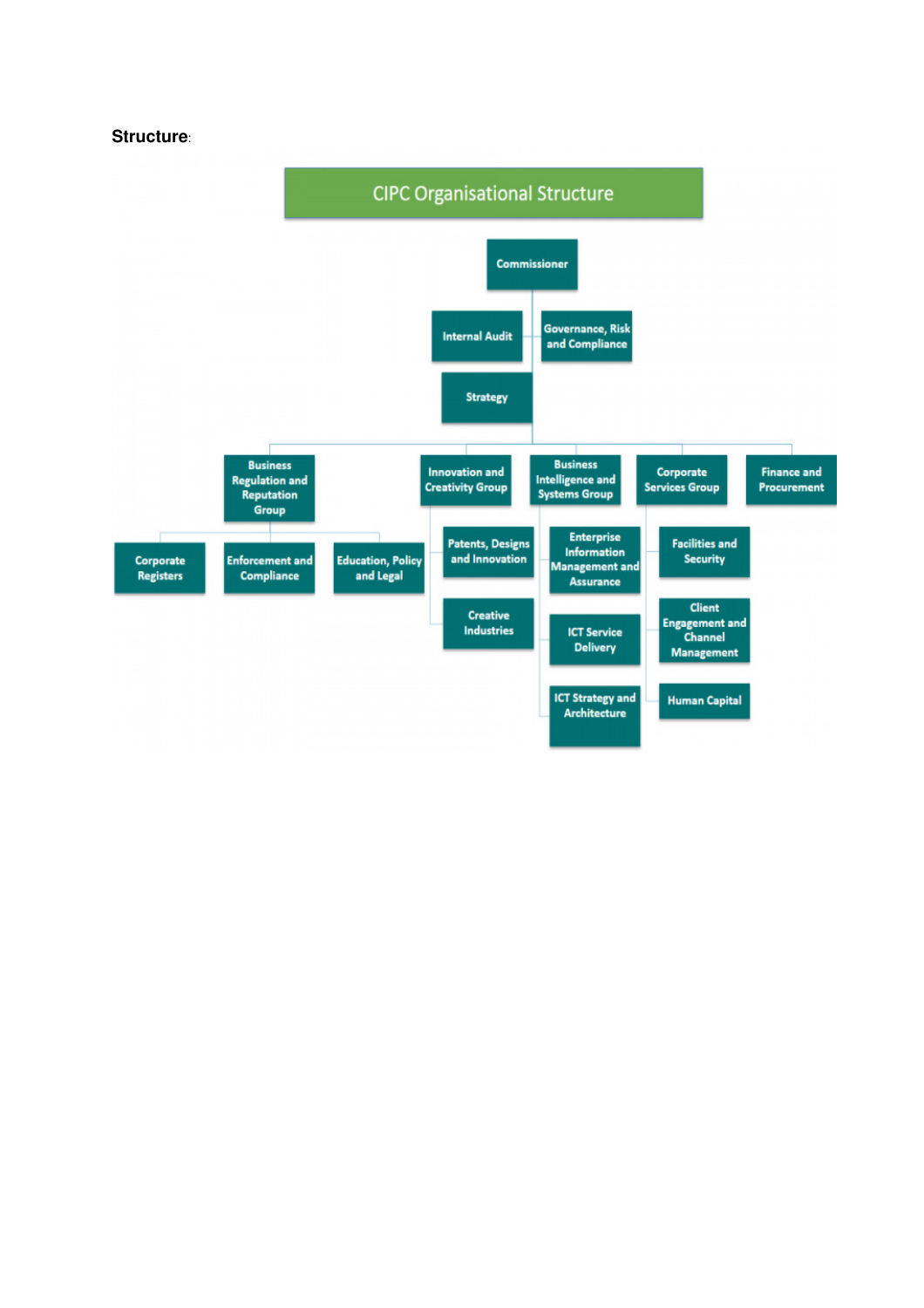**Structure**:

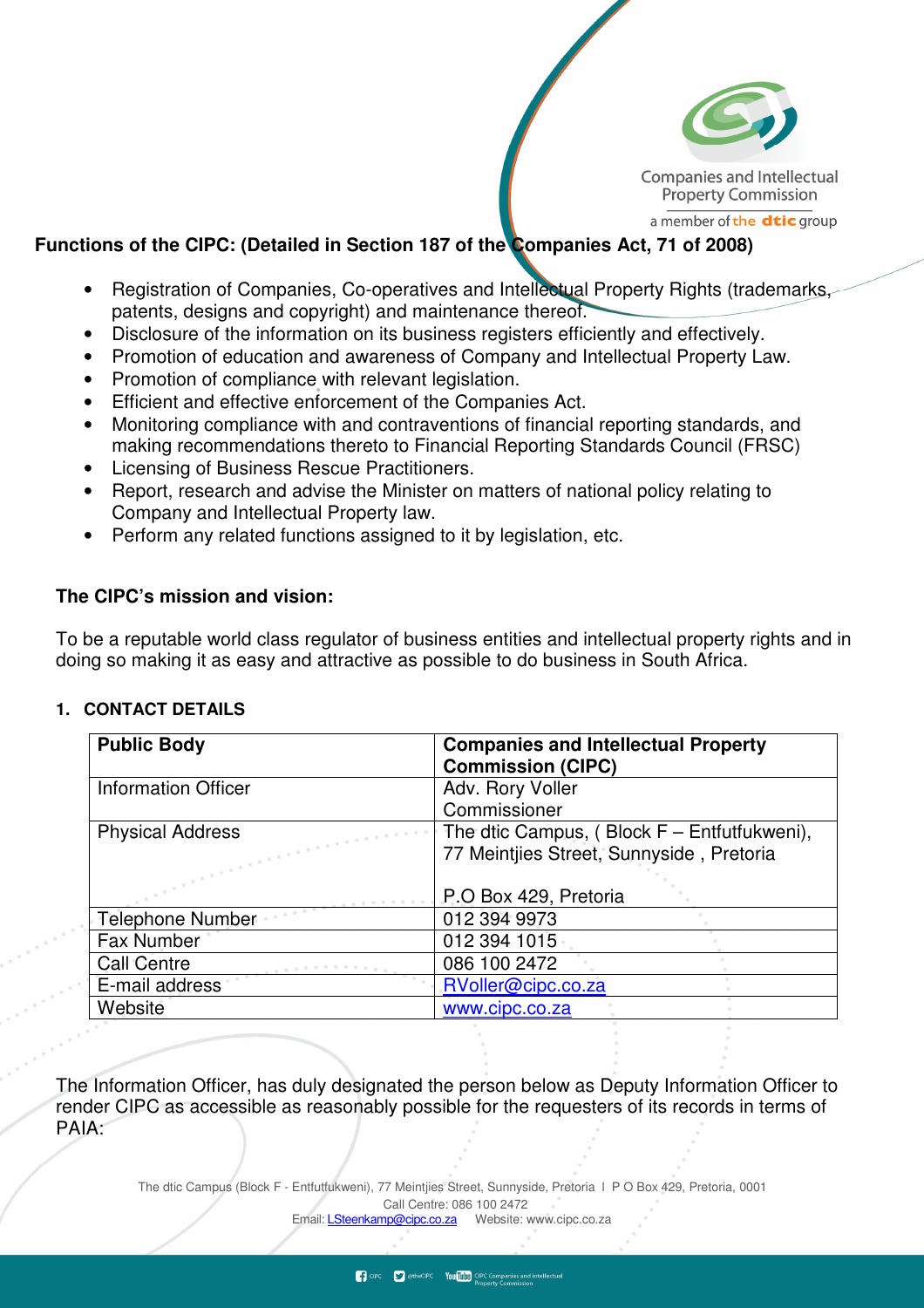

**Companies and Intellectual Property Commission** 

a member of the **dtic** group

### **Functions of the CIPC: (Detailed in Section 187 of the Companies Act, 71 of 2008)**

- Registration of Companies, Co-operatives and Intellectual Property Rights (trademarks, patents, designs and copyright) and maintenance thereof.
- Disclosure of the information on its business registers efficiently and effectively.
- Promotion of education and awareness of Company and Intellectual Property Law.
- Promotion of compliance with relevant legislation.
- Efficient and effective enforcement of the Companies Act.
- Monitoring compliance with and contraventions of financial reporting standards, and making recommendations thereto to Financial Reporting Standards Council (FRSC)
- Licensing of Business Rescue Practitioners.
- Report, research and advise the Minister on matters of national policy relating to Company and Intellectual Property law.
- Perform any related functions assigned to it by legislation, etc.

### **The CIPC's mission and vision:**

To be a reputable world class regulator of business entities and intellectual property rights and in doing so making it as easy and attractive as possible to do business in South Africa.

#### **1. CONTACT DETAILS**

| <b>Public Body</b>         | <b>Companies and Intellectual Property</b><br><b>Commission (CIPC)</b> |
|----------------------------|------------------------------------------------------------------------|
| <b>Information Officer</b> | Adv. Rory Voller                                                       |
|                            | Commissioner                                                           |
| <b>Physical Address</b>    | The dtic Campus, (Block $F$ – Entfutfukweni),                          |
|                            | 77 Meintjies Street, Sunnyside, Pretoria                               |
|                            |                                                                        |
|                            | P.O Box 429, Pretoria                                                  |
| <b>Telephone Number</b>    | 012 394 9973                                                           |
| Fax Number                 | 012 394 1015                                                           |
| <b>Call Centre</b>         | 086 100 2472                                                           |
| E-mail address             | RVoller@cipc.co.za                                                     |
| Website                    | www.cipc.co.za                                                         |

The Information Officer, has duly designated the person below as Deputy Information Officer to render CIPC as accessible as reasonably possible for the requesters of its records in terms of PAIA: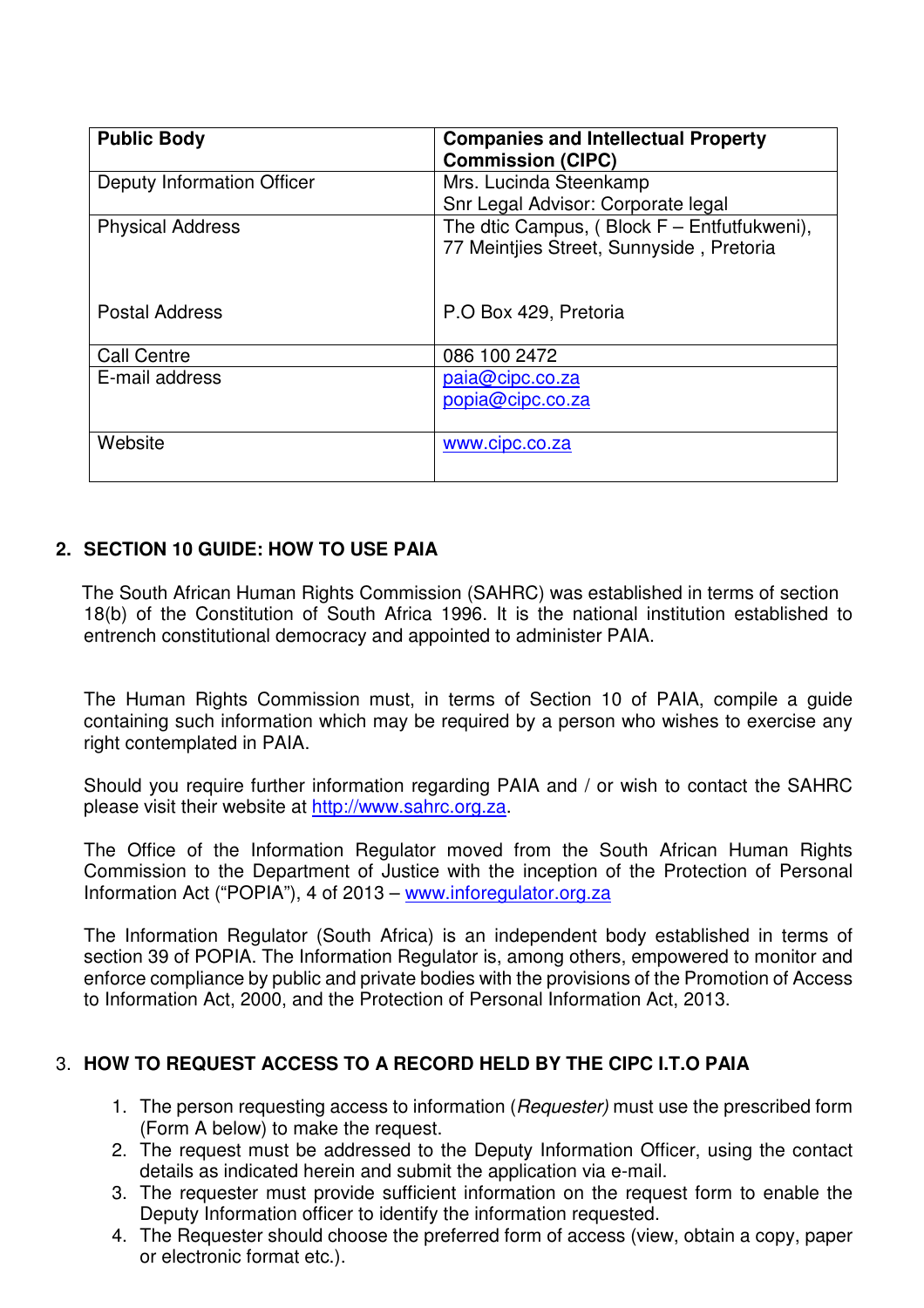| <b>Public Body</b>         | <b>Companies and Intellectual Property</b><br><b>Commission (CIPC)</b>                    |
|----------------------------|-------------------------------------------------------------------------------------------|
| Deputy Information Officer | Mrs. Lucinda Steenkamp<br>Snr Legal Advisor: Corporate legal                              |
| <b>Physical Address</b>    | The dtic Campus, (Block $F$ – Entfutfukweni),<br>77 Meintjies Street, Sunnyside, Pretoria |
| <b>Postal Address</b>      | P.O Box 429, Pretoria                                                                     |
| <b>Call Centre</b>         | 086 100 2472                                                                              |
| E-mail address             | paia@cipc.co.za<br>popia@cipc.co.za                                                       |
| Website                    | www.cipc.co.za                                                                            |

## **2. SECTION 10 GUIDE: HOW TO USE PAIA**

The South African Human Rights Commission (SAHRC) was established in terms of section 18(b) of the Constitution of South Africa 1996. It is the national institution established to entrench constitutional democracy and appointed to administer PAIA.

The Human Rights Commission must, in terms of Section 10 of PAIA, compile a guide containing such information which may be required by a person who wishes to exercise any right contemplated in PAIA.

Should you require further information regarding PAIA and / or wish to contact the SAHRC please visit their website at http://www.sahrc.org.za.

The Office of the Information Regulator moved from the South African Human Rights Commission to the Department of Justice with the inception of the Protection of Personal Information Act ("POPIA"), 4 of 2013 – www.inforegulator.org.za

The Information Regulator (South Africa) is an independent body established in terms of section 39 of POPIA. The Information Regulator is, among others, empowered to monitor and enforce compliance by public and private bodies with the provisions of the Promotion of Access to Information Act, 2000, and the Protection of Personal Information Act, 2013.

## 3. **HOW TO REQUEST ACCESS TO A RECORD HELD BY THE CIPC I.T.O PAIA**

- 1. The person requesting access to information (Requester) must use the prescribed form (Form A below) to make the request.
- 2. The request must be addressed to the Deputy Information Officer, using the contact details as indicated herein and submit the application via e-mail.
- 3. The requester must provide sufficient information on the request form to enable the Deputy Information officer to identify the information requested.
- 4. The Requester should choose the preferred form of access (view, obtain a copy, paper or electronic format etc.).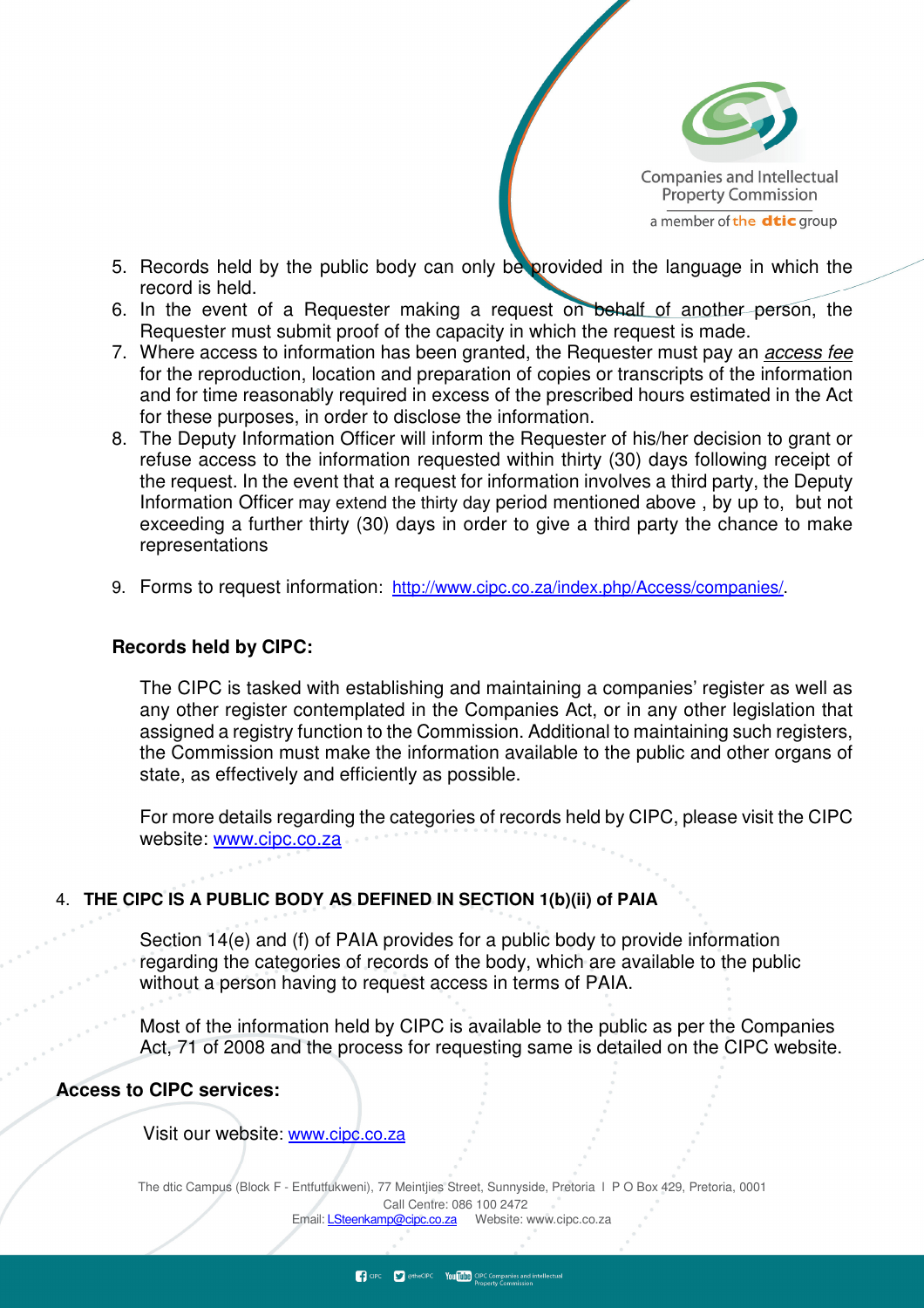

- 5. Records held by the public body can only be provided in the language in which the record is held.
- 6. In the event of a Requester making a request on behalf of another person, the Requester must submit proof of the capacity in which the request is made.
- 7. Where access to information has been granted, the Requester must pay an access fee for the reproduction, location and preparation of copies or transcripts of the information and for time reasonably required in excess of the prescribed hours estimated in the Act for these purposes, in order to disclose the information.
- 8. The Deputy Information Officer will inform the Requester of his/her decision to grant or refuse access to the information requested within thirty (30) days following receipt of the request. In the event that a request for information involves a third party, the Deputy Information Officer may extend the thirty day period mentioned above , by up to, but not exceeding a further thirty (30) days in order to give a third party the chance to make representations
- 9. Forms to request information: http://www.cipc.co.za/index.php/Access/companies/.

#### **Records held by CIPC:**

The CIPC is tasked with establishing and maintaining a companies' register as well as any other register contemplated in the Companies Act, or in any other legislation that assigned a registry function to the Commission. Additional to maintaining such registers, the Commission must make the information available to the public and other organs of state, as effectively and efficiently as possible.

For more details regarding the categories of records held by CIPC, please visit the CIPC website: www.cipc.co.za

#### 4. **THE CIPC IS A PUBLIC BODY AS DEFINED IN SECTION 1(b)(ii) of PAIA**

Section 14(e) and (f) of PAIA provides for a public body to provide information regarding the categories of records of the body, which are available to the public without a person having to request access in terms of PAIA.

Most of the information held by CIPC is available to the public as per the Companies Act, 71 of 2008 and the process for requesting same is detailed on the CIPC website.

#### **Access to CIPC services:**

Visit our website: www.cipc.co.za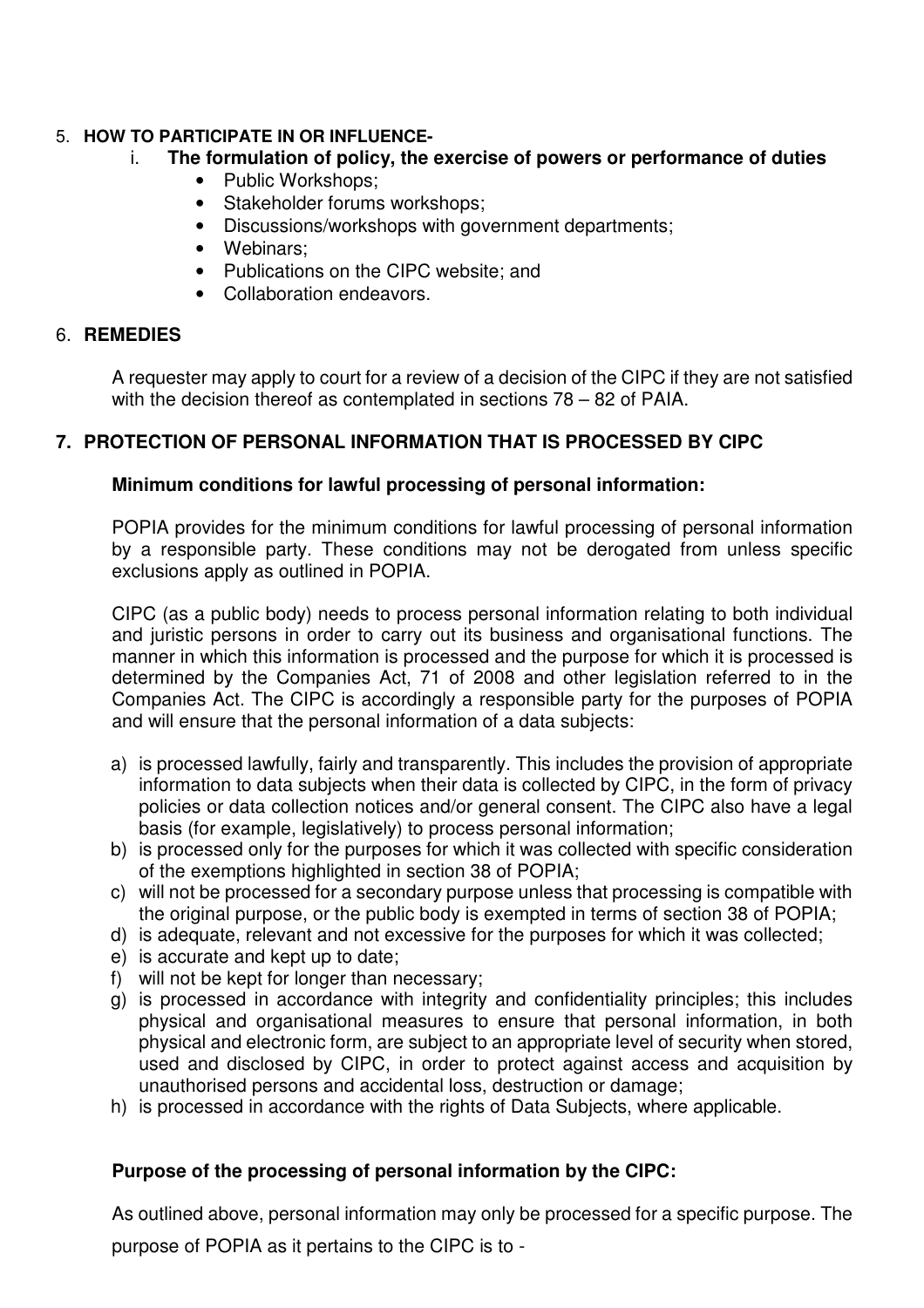## 5. **HOW TO PARTICIPATE IN OR INFLUENCE-**

### i. **The formulation of policy, the exercise of powers or performance of duties**

- Public Workshops;
- Stakeholder forums workshops;
- Discussions/workshops with government departments;
- Webinars;
- Publications on the CIPC website; and
- Collaboration endeavors.

### 6. **REMEDIES**

A requester may apply to court for a review of a decision of the CIPC if they are not satisfied with the decision thereof as contemplated in sections 78 – 82 of PAIA.

## **7. PROTECTION OF PERSONAL INFORMATION THAT IS PROCESSED BY CIPC**

### **Minimum conditions for lawful processing of personal information:**

POPIA provides for the minimum conditions for lawful processing of personal information by a responsible party. These conditions may not be derogated from unless specific exclusions apply as outlined in POPIA.

CIPC (as a public body) needs to process personal information relating to both individual and juristic persons in order to carry out its business and organisational functions. The manner in which this information is processed and the purpose for which it is processed is determined by the Companies Act, 71 of 2008 and other legislation referred to in the Companies Act. The CIPC is accordingly a responsible party for the purposes of POPIA and will ensure that the personal information of a data subjects:

- a) is processed lawfully, fairly and transparently. This includes the provision of appropriate information to data subjects when their data is collected by CIPC, in the form of privacy policies or data collection notices and/or general consent. The CIPC also have a legal basis (for example, legislatively) to process personal information;
- b) is processed only for the purposes for which it was collected with specific consideration of the exemptions highlighted in section 38 of POPIA;
- c) will not be processed for a secondary purpose unless that processing is compatible with the original purpose, or the public body is exempted in terms of section 38 of POPIA;
- d) is adequate, relevant and not excessive for the purposes for which it was collected;
- e) is accurate and kept up to date;
- f) will not be kept for longer than necessary;
- g) is processed in accordance with integrity and confidentiality principles; this includes physical and organisational measures to ensure that personal information, in both physical and electronic form, are subject to an appropriate level of security when stored, used and disclosed by CIPC, in order to protect against access and acquisition by unauthorised persons and accidental loss, destruction or damage;
- h) is processed in accordance with the rights of Data Subjects, where applicable.

## **Purpose of the processing of personal information by the CIPC:**

As outlined above, personal information may only be processed for a specific purpose. The purpose of POPIA as it pertains to the CIPC is to -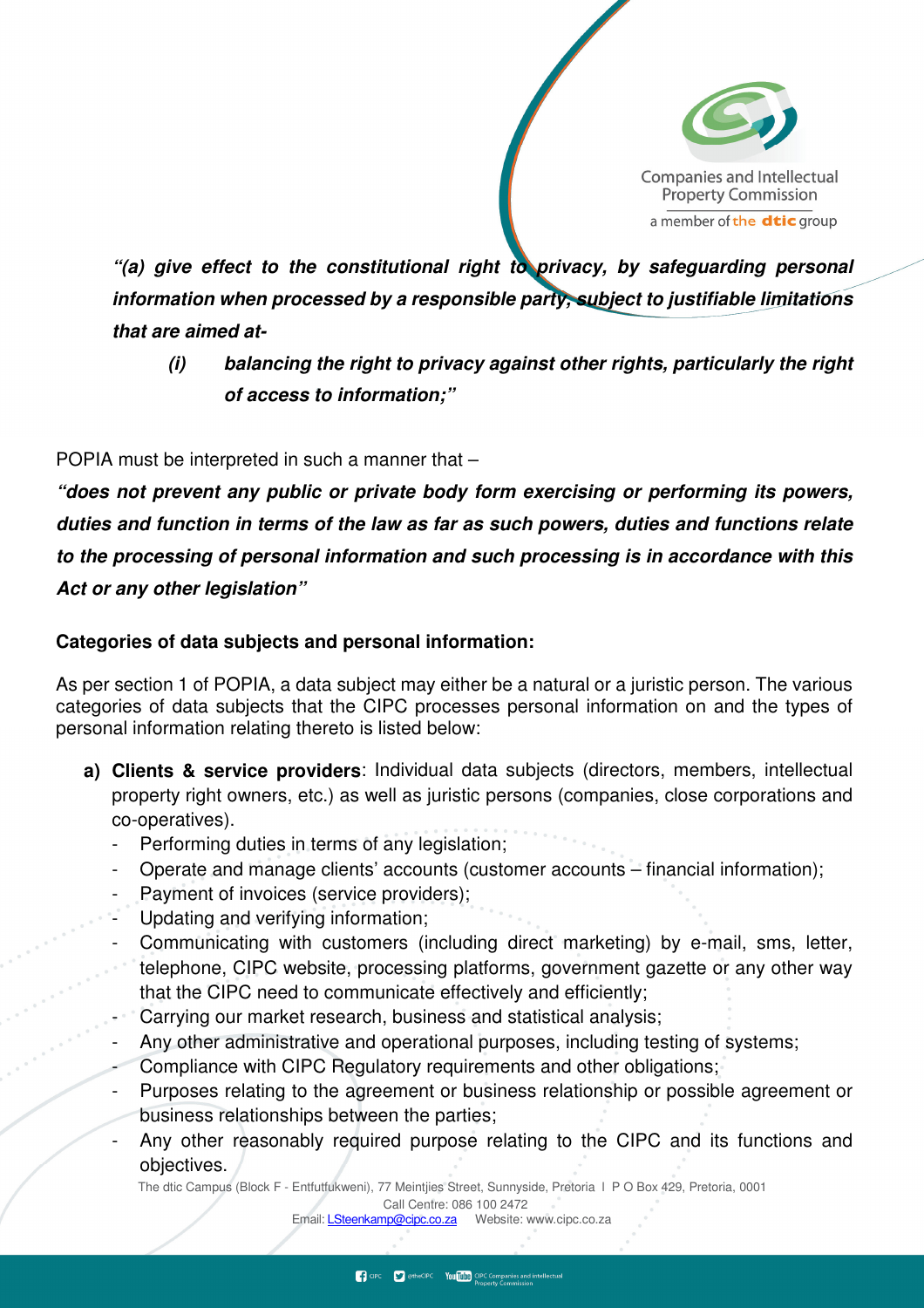

**"(a) give effect to the constitutional right to privacy, by safeguarding personal information when processed by a responsible party, subject to justifiable limitations that are aimed at-** 

**(i) balancing the right to privacy against other rights, particularly the right of access to information;"** 

POPIA must be interpreted in such a manner that –

**"does not prevent any public or private body form exercising or performing its powers, duties and function in terms of the law as far as such powers, duties and functions relate to the processing of personal information and such processing is in accordance with this Act or any other legislation"** 

### **Categories of data subjects and personal information:**

As per section 1 of POPIA, a data subject may either be a natural or a juristic person. The various categories of data subjects that the CIPC processes personal information on and the types of personal information relating thereto is listed below:

- **a) Clients & service providers**: Individual data subjects (directors, members, intellectual property right owners, etc.) as well as juristic persons (companies, close corporations and co-operatives).
	- Performing duties in terms of any legislation;
	- Operate and manage clients' accounts (customer accounts financial information);
	- Payment of invoices (service providers);
	- Updating and verifying information;
	- Communicating with customers (including direct marketing) by e-mail, sms, letter, telephone, CIPC website, processing platforms, government gazette or any other way that the CIPC need to communicate effectively and efficiently;
	- Carrying our market research, business and statistical analysis;
	- Any other administrative and operational purposes, including testing of systems;
	- Compliance with CIPC Regulatory requirements and other obligations;
	- Purposes relating to the agreement or business relationship or possible agreement or business relationships between the parties;
	- Any other reasonably required purpose relating to the CIPC and its functions and objectives.

The dtic Campus (Block F - Entfutfukweni), 77 Meintjies Street, Sunnyside, Pretoria l P O Box 429, Pretoria, 0001 Call Centre: 086 100 2472

Email: *LSteenkamp@cipc.co.za* Website: www.cipc.co.za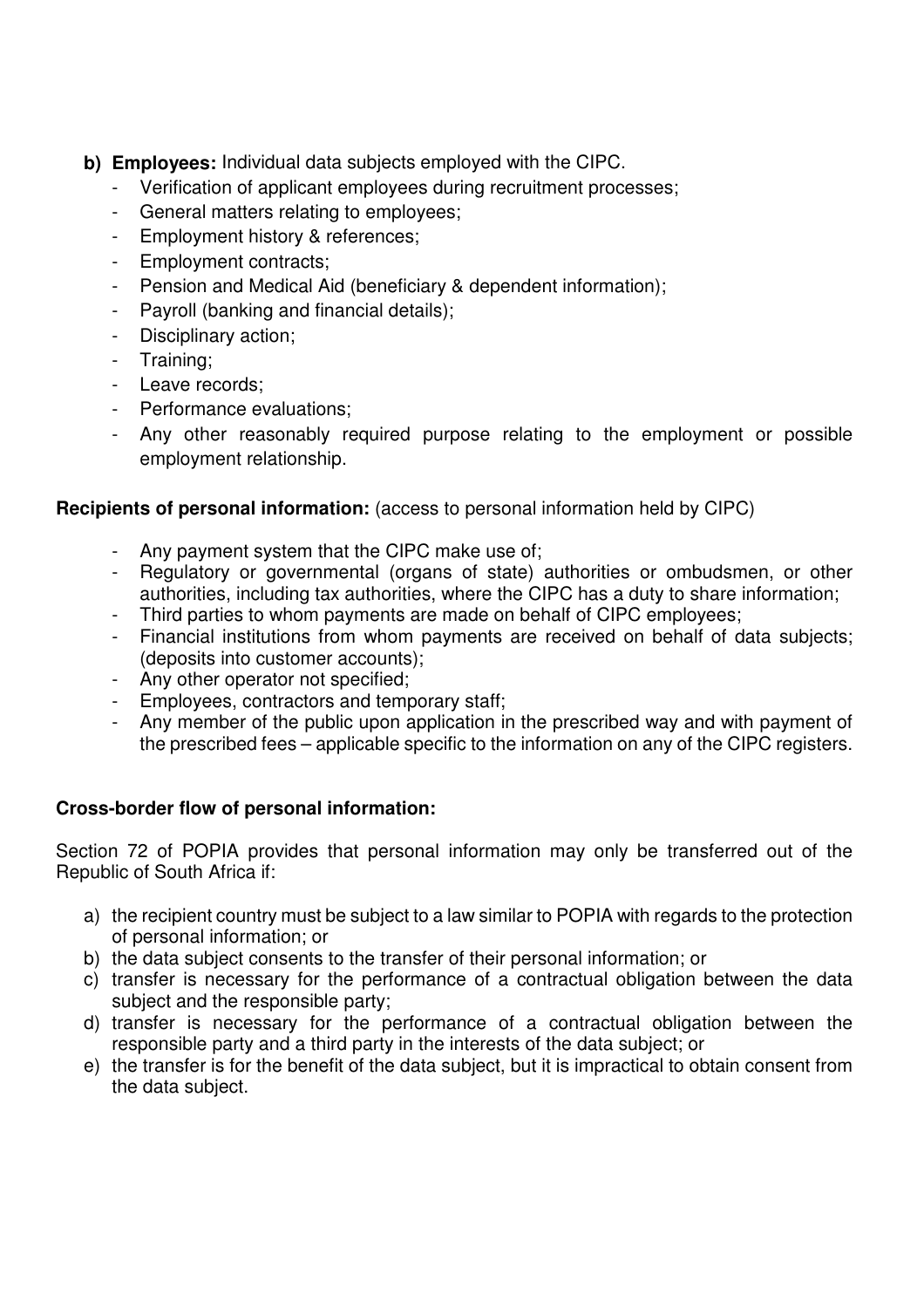- **b) Employees:** Individual data subjects employed with the CIPC.
	- Verification of applicant employees during recruitment processes;
	- General matters relating to employees;
	- Employment history & references;
	- Employment contracts;
	- Pension and Medical Aid (beneficiary & dependent information);
	- Payroll (banking and financial details);
	- Disciplinary action;
	- Training;
	- Leave records;
	- Performance evaluations;
	- Any other reasonably required purpose relating to the employment or possible employment relationship.

## **Recipients of personal information:** (access to personal information held by CIPC)

- Any payment system that the CIPC make use of;
- Regulatory or governmental (organs of state) authorities or ombudsmen, or other authorities, including tax authorities, where the CIPC has a duty to share information;
- Third parties to whom payments are made on behalf of CIPC employees;
- Financial institutions from whom payments are received on behalf of data subjects; (deposits into customer accounts);
- Any other operator not specified;
- Employees, contractors and temporary staff;
- Any member of the public upon application in the prescribed way and with payment of the prescribed fees – applicable specific to the information on any of the CIPC registers.

## **Cross-border flow of personal information:**

Section 72 of POPIA provides that personal information may only be transferred out of the Republic of South Africa if:

- a) the recipient country must be subject to a law similar to POPIA with regards to the protection of personal information; or
- b) the data subject consents to the transfer of their personal information; or
- c) transfer is necessary for the performance of a contractual obligation between the data subject and the responsible party;
- d) transfer is necessary for the performance of a contractual obligation between the responsible party and a third party in the interests of the data subject; or
- e) the transfer is for the benefit of the data subject, but it is impractical to obtain consent from the data subject.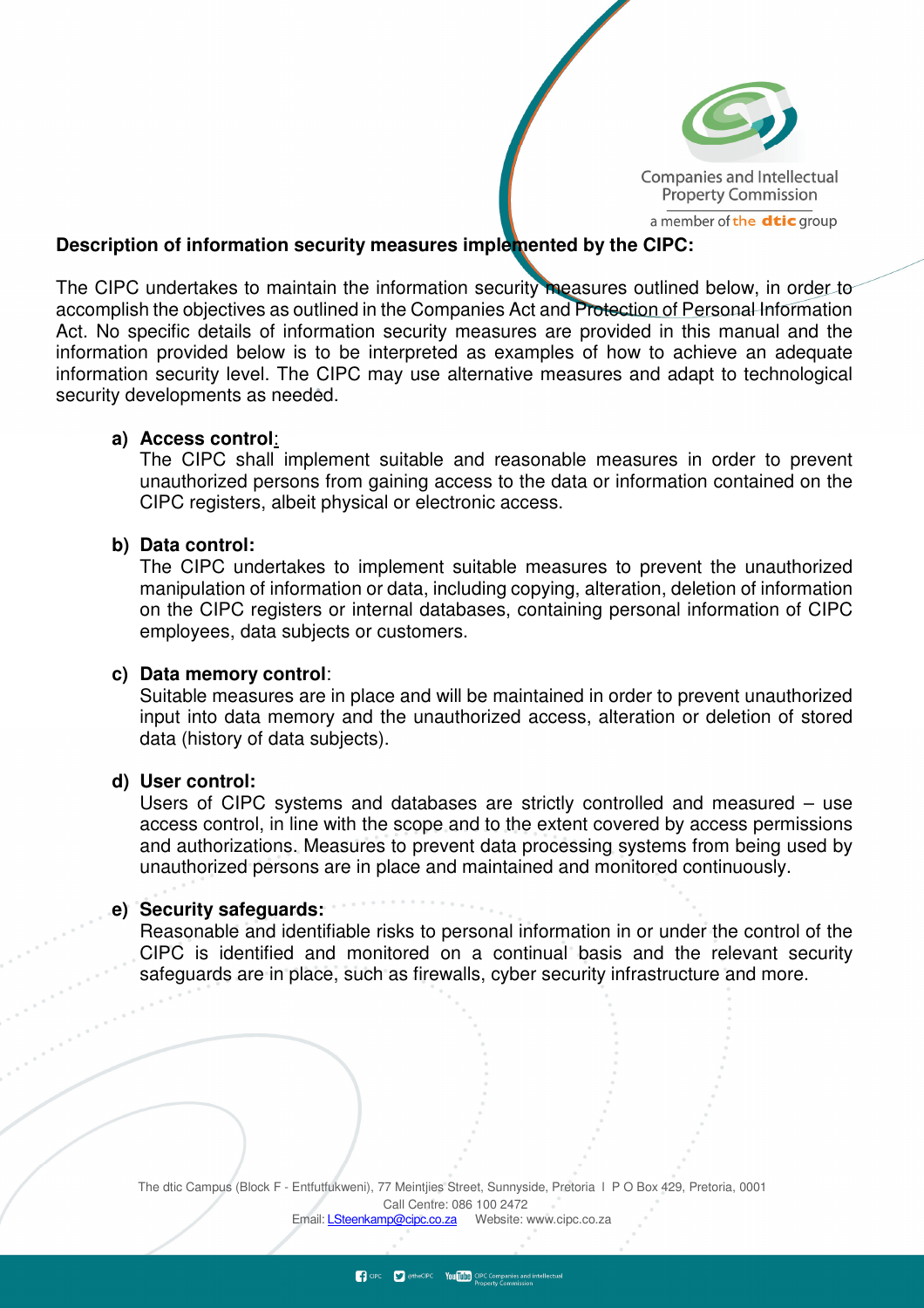

#### **Description of information security measures implemented by the CIPC:**

The CIPC undertakes to maintain the information security measures outlined below, in order to accomplish the objectives as outlined in the Companies Act and Protection of Personal Information Act. No specific details of information security measures are provided in this manual and the information provided below is to be interpreted as examples of how to achieve an adequate information security level. The CIPC may use alternative measures and adapt to technological security developments as needed.

#### **a) Access control**:

The CIPC shall implement suitable and reasonable measures in order to prevent unauthorized persons from gaining access to the data or information contained on the CIPC registers, albeit physical or electronic access.

#### **b) Data control:**

The CIPC undertakes to implement suitable measures to prevent the unauthorized manipulation of information or data, including copying, alteration, deletion of information on the CIPC registers or internal databases, containing personal information of CIPC employees, data subjects or customers.

#### **c) Data memory control**:

Suitable measures are in place and will be maintained in order to prevent unauthorized input into data memory and the unauthorized access, alteration or deletion of stored data (history of data subjects).

#### **d) User control:**

 $\begin{array}{c} \circ \\ \circ \end{array}$ 

Users of CIPC systems and databases are strictly controlled and measured – use access control, in line with the scope and to the extent covered by access permissions and authorizations. Measures to prevent data processing systems from being used by unauthorized persons are in place and maintained and monitored continuously.

#### **e) Security safeguards:**

Reasonable and identifiable risks to personal information in or under the control of the CIPC is identified and monitored on a continual basis and the relevant security safeguards are in place, such as firewalls, cyber security infrastructure and more.